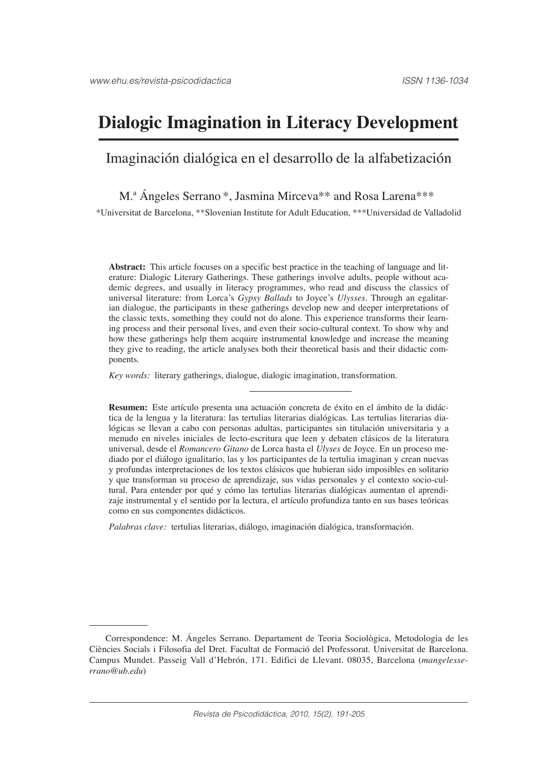# **Dialogic Imagination in Literacy Development**

# Imaginación dialógica en el desarrollo de la alfabetización

#### M.<sup>a</sup> Ángeles Serrano \*, Jasmina Mirceva \*\* and Rosa Larena \*\*\*

\*Universitat de Barcelona, \*\*Slovenian Institute for Adult Education, \*\*\*Universidad de Valladolid

**Abstract:** This article focuses on a specific best practice in the teaching of language and literature: Dialogic Literary Gatherings. These gatherings involve adults, people without academic degrees, and usually in literacy programmes, who read and discuss the classics of universal literature: from Lorca's *Gypsy Ballads* to Joyce's *Ulysses*. Through an egalitarian dialogue, the participants in these gatherings develop new and deeper interpretations of the classic texts, something they could not do alone. This experience transforms their learning process and their personal lives, and even their socio-cultural context. To show why and how these gatherings help them acquire instrumental knowledge and increase the meaning they give to reading, the article analyses both their theoretical basis and their didactic components.

*Key words:* literary gatherings, dialogue, dialogic imagination, transformation.

**Resumen:** Este artículo presenta una actuación concreta de éxito en el ámbito de la didáctica de la lengua y la literatura: las tertulias literarias dialógicas. Las tertulias literarias dialógicas se llevan a cabo con personas adultas, participantes sin titulación universitaria y a menudo en niveles iniciales de lecto-escritura que leen y debaten clásicos de la literatura universal, desde el *Romancero Gitano* de Lorca hasta el *Ulyses* de Joyce. En un proceso mediado por el diálogo igualitario, las y los participantes de la tertulia imaginan y crean nuevas y profundas interpretaciones de los textos clásicos que hubieran sido imposibles en solitario y que transforman su proceso de aprendizaje, sus vidas personales y el contexto socio-cultural. Para entender por qué y cómo las tertulias literarias dialógicas aumentan el aprendizaje instrumental y el sentido por la lectura, el artículo profundiza tanto en sus bases teóricas como en sus componentes didácticos.

*Palabras clave:* tertulias literarias, diálogo, imaginación dialógica, transformación.

Correspondence: M. Ángeles Serrano. Departament de Teoria Sociològica, Metodologia de les Ciències Socials i Filosofia del Dret. Facultat de Formació del Professorat. Universitat de Barcelona. Campus Mundet. Passeig Vall d'Hebrón, 171. Edifici de Llevant. 08035, Barcelona (*mangelesserrano@ub.edu*)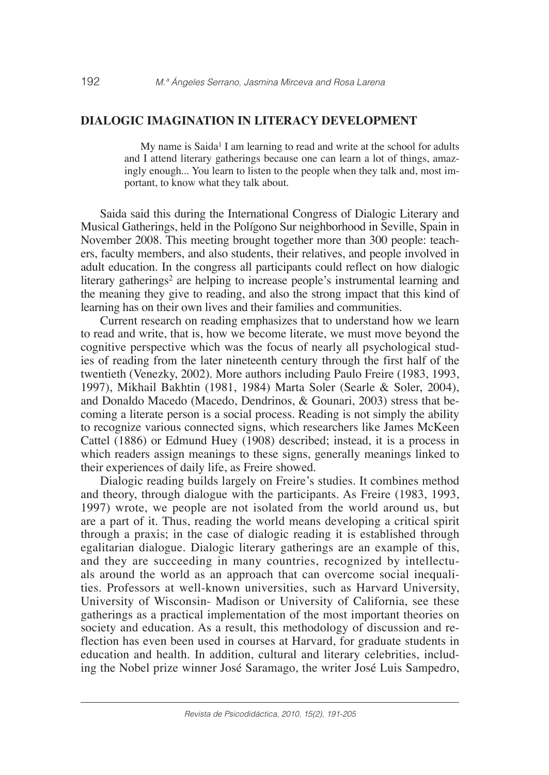## **DIALOGIC IMAGINATION IN LITERACY DEVELOPMENT**

My name is  $Saida<sup>1</sup>$  I am learning to read and write at the school for adults and I attend literary gatherings because one can learn a lot of things, amazingly enough... You learn to listen to the people when they talk and, most important, to know what they talk about.

Saida said this during the International Congress of Dialogic Literary and Musical Gatherings, held in the Polígono Sur neighborhood in Seville, Spain in November 2008. This meeting brought together more than 300 people: teachers, faculty members, and also students, their relatives, and people involved in adult education. In the congress all participants could reflect on how dialogic literary gatherings<sup>2</sup> are helping to increase people's instrumental learning and the meaning they give to reading, and also the strong impact that this kind of learning has on their own lives and their families and communities.

Current research on reading emphasizes that to understand how we learn to read and write, that is, how we become literate, we must move beyond the cognitive perspective which was the focus of nearly all psychological studies of reading from the later nineteenth century through the first half of the twentieth (Venezky, 2002). More authors including Paulo Freire (1983, 1993, 1997), Mikhail Bakhtin (1981, 1984) Marta Soler (Searle & Soler, 2004), and Donaldo Macedo (Macedo, Dendrinos, & Gounari, 2003) stress that becoming a literate person is a social process. Reading is not simply the ability to recognize various connected signs, which researchers like James McKeen Cattel (1886) or Edmund Huey (1908) described; instead, it is a process in which readers assign meanings to these signs, generally meanings linked to their experiences of daily life, as Freire showed.

Dialogic reading builds largely on Freire's studies. It combines method and theory, through dialogue with the participants. As Freire (1983, 1993, 1997) wrote, we people are not isolated from the world around us, but are a part of it. Thus, reading the world means developing a critical spirit through a praxis; in the case of dialogic reading it is established through egalitarian dialogue. Dialogic literary gatherings are an example of this, and they are succeeding in many countries, recognized by intellectuals around the world as an approach that can overcome social inequalities. Professors at well-known universities, such as Harvard University, University of Wisconsin- Madison or University of California, see these gatherings as a practical implementation of the most important theories on society and education. As a result, this methodology of discussion and reflection has even been used in courses at Harvard, for graduate students in education and health. In addition, cultural and literary celebrities, including the Nobel prize winner José Saramago, the writer José Luis Sampedro,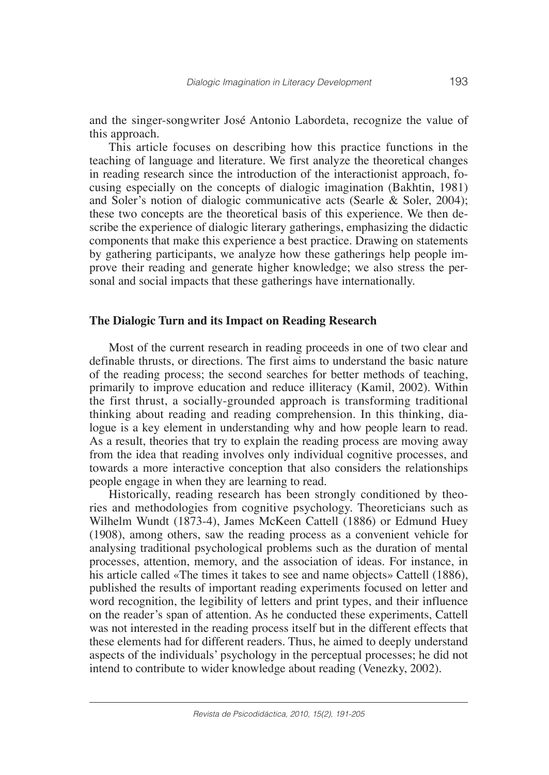and the singer-songwriter José Antonio Labordeta, recognize the value of this approach.

This article focuses on describing how this practice functions in the teaching of language and literature. We first analyze the theoretical changes in reading research since the introduction of the interactionist approach, focusing especially on the concepts of dialogic imagination (Bakhtin, 1981) and Soler's notion of dialogic communicative acts (Searle & Soler, 2004); these two concepts are the theoretical basis of this experience. We then describe the experience of dialogic literary gatherings, emphasizing the didactic components that make this experience a best practice. Drawing on statements by gathering participants, we analyze how these gatherings help people improve their reading and generate higher knowledge; we also stress the personal and social impacts that these gatherings have internationally.

#### **The Dialogic Turn and its Impact on Reading Research**

Most of the current research in reading proceeds in one of two clear and definable thrusts, or directions. The first aims to understand the basic nature of the reading process; the second searches for better methods of teaching, primarily to improve education and reduce illiteracy (Kamil, 2002). Within the first thrust, a socially-grounded approach is transforming traditional thinking about reading and reading comprehension. In this thinking, dialogue is a key element in understanding why and how people learn to read. As a result, theories that try to explain the reading process are moving away from the idea that reading involves only individual cognitive processes, and towards a more interactive conception that also considers the relationships people engage in when they are learning to read.

Historically, reading research has been strongly conditioned by theories and methodologies from cognitive psychology. Theoreticians such as Wilhelm Wundt (1873-4), James McKeen Cattell (1886) or Edmund Huey (1908), among others, saw the reading process as a convenient vehicle for analysing traditional psychological problems such as the duration of mental processes, attention, memory, and the association of ideas. For instance, in his article called «The times it takes to see and name objects» Cattell (1886), published the results of important reading experiments focused on letter and word recognition, the legibility of letters and print types, and their influence on the reader's span of attention. As he conducted these experiments, Cattell was not interested in the reading process itself but in the different effects that these elements had for different readers. Thus, he aimed to deeply understand aspects of the individuals' psychology in the perceptual processes; he did not intend to contribute to wider knowledge about reading (Venezky, 2002).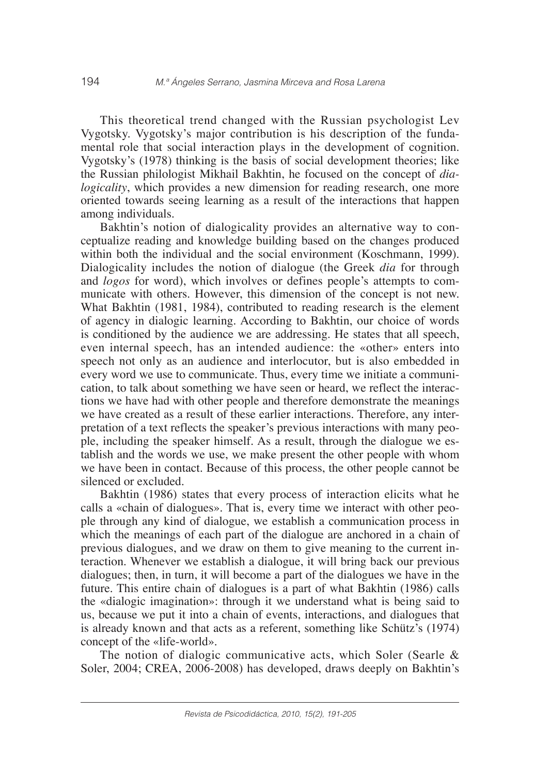This theoretical trend changed with the Russian psychologist Lev Vygotsky. Vygotsky's major contribution is his description of the fundamental role that social interaction plays in the development of cognition. Vygotsky's (1978) thinking is the basis of social development theories; like the Russian philologist Mikhail Bakhtin, he focused on the concept of *dialogicality*, which provides a new dimension for reading research, one more oriented towards seeing learning as a result of the interactions that happen among individuals.

Bakhtin's notion of dialogicality provides an alternative way to conceptualize reading and knowledge building based on the changes produced within both the individual and the social environment (Koschmann, 1999). Dialogicality includes the notion of dialogue (the Greek *dia* for through and *logos* for word), which involves or defines people's attempts to communicate with others. However, this dimension of the concept is not new. What Bakhtin (1981, 1984), contributed to reading research is the element of agency in dialogic learning. According to Bakhtin, our choice of words is conditioned by the audience we are addressing. He states that all speech, even internal speech, has an intended audience: the «other» enters into speech not only as an audience and interlocutor, but is also embedded in every word we use to communicate. Thus, every time we initiate a communication, to talk about something we have seen or heard, we reflect the interactions we have had with other people and therefore demonstrate the meanings we have created as a result of these earlier interactions. Therefore, any interpretation of a text reflects the speaker's previous interactions with many people, including the speaker himself. As a result, through the dialogue we establish and the words we use, we make present the other people with whom we have been in contact. Because of this process, the other people cannot be silenced or excluded.

Bakhtin (1986) states that every process of interaction elicits what he calls a «chain of dialogues». That is, every time we interact with other people through any kind of dialogue, we establish a communication process in which the meanings of each part of the dialogue are anchored in a chain of previous dialogues, and we draw on them to give meaning to the current interaction. Whenever we establish a dialogue, it will bring back our previous dialogues; then, in turn, it will become a part of the dialogues we have in the future. This entire chain of dialogues is a part of what Bakhtin (1986) calls the «dialogic imagination»: through it we understand what is being said to us, because we put it into a chain of events, interactions, and dialogues that is already known and that acts as a referent, something like Schütz's (1974) concept of the «life-world».

The notion of dialogic communicative acts, which Soler (Searle & Soler, 2004; CREA, 2006-2008) has developed, draws deeply on Bakhtin's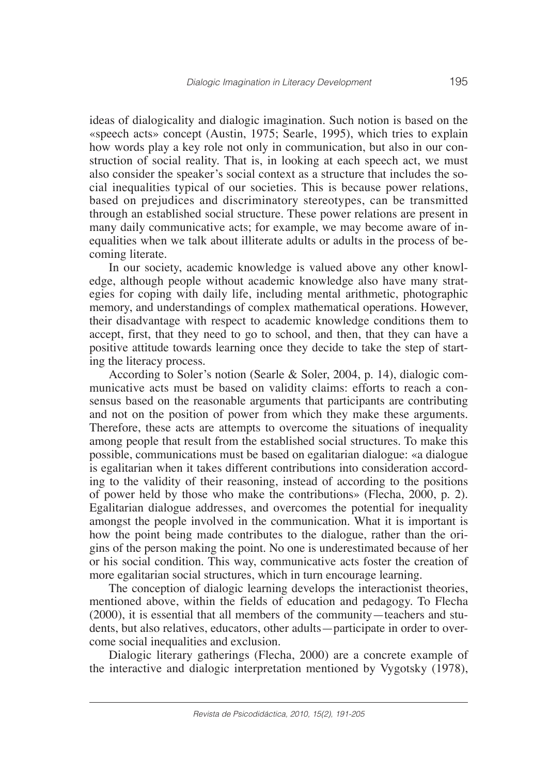ideas of dialogicality and dialogic imagination. Such notion is based on the «speech acts» concept (Austin, 1975; Searle, 1995), which tries to explain how words play a key role not only in communication, but also in our construction of social reality. That is, in looking at each speech act, we must also consider the speaker's social context as a structure that includes the social inequalities typical of our societies. This is because power relations, based on prejudices and discriminatory stereotypes, can be transmitted through an established social structure. These power relations are present in many daily communicative acts; for example, we may become aware of inequalities when we talk about illiterate adults or adults in the process of becoming literate.

In our society, academic knowledge is valued above any other knowledge, although people without academic knowledge also have many strategies for coping with daily life, including mental arithmetic, photographic memory, and understandings of complex mathematical operations. However, their disadvantage with respect to academic knowledge conditions them to accept, first, that they need to go to school, and then, that they can have a positive attitude towards learning once they decide to take the step of starting the literacy process.

According to Soler's notion (Searle & Soler, 2004, p. 14), dialogic communicative acts must be based on validity claims: efforts to reach a consensus based on the reasonable arguments that participants are contributing and not on the position of power from which they make these arguments. Therefore, these acts are attempts to overcome the situations of inequality among people that result from the established social structures. To make this possible, communications must be based on egalitarian dialogue: «a dialogue is egalitarian when it takes different contributions into consideration according to the validity of their reasoning, instead of according to the positions of power held by those who make the contributions» (Flecha, 2000, p. 2). Egalitarian dialogue addresses, and overcomes the potential for inequality amongst the people involved in the communication. What it is important is how the point being made contributes to the dialogue, rather than the origins of the person making the point. No one is underestimated because of her or his social condition. This way, communicative acts foster the creation of more egalitarian social structures, which in turn encourage learning.

The conception of dialogic learning develops the interactionist theories, mentioned above, within the fields of education and pedagogy. To Flecha (2000), it is essential that all members of the community—teachers and students, but also relatives, educators, other adults—participate in order to overcome social inequalities and exclusion.

Dialogic literary gatherings (Flecha, 2000) are a concrete example of the interactive and dialogic interpretation mentioned by Vygotsky (1978),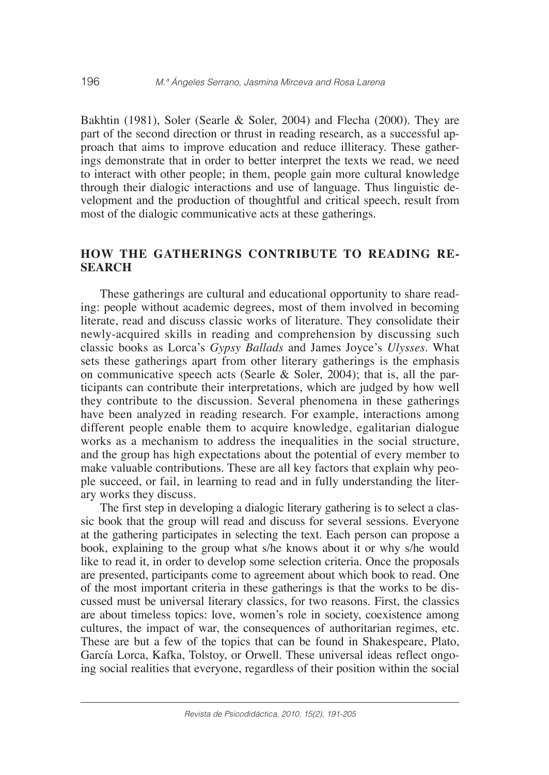Bakhtin (1981), Soler (Searle & Soler, 2004) and Flecha (2000). They are part of the second direction or thrust in reading research, as a successful approach that aims to improve education and reduce illiteracy. These gatherings demonstrate that in order to better interpret the texts we read, we need to interact with other people; in them, people gain more cultural knowledge through their dialogic interactions and use of language. Thus linguistic development and the production of thoughtful and critical speech, result from most of the dialogic communicative acts at these gatherings.

# **HOW THE GATHERINGS CONTRIBUTE TO READING RE-SEARCH**

These gatherings are cultural and educational opportunity to share reading: people without academic degrees, most of them involved in becoming literate, read and discuss classic works of literature. They consolidate their newly-acquired skills in reading and comprehension by discussing such classic books as Lorca's *Gypsy Ballads* and James Joyce's *Ulysses*. What sets these gatherings apart from other literary gatherings is the emphasis on communicative speech acts (Searle & Soler, 2004); that is, all the participants can contribute their interpretations, which are judged by how well they contribute to the discussion. Several phenomena in these gatherings have been analyzed in reading research. For example, interactions among different people enable them to acquire knowledge, egalitarian dialogue works as a mechanism to address the inequalities in the social structure, and the group has high expectations about the potential of every member to make valuable contributions. These are all key factors that explain why people succeed, or fail, in learning to read and in fully understanding the literary works they discuss.

The first step in developing a dialogic literary gathering is to select a classic book that the group will read and discuss for several sessions. Everyone at the gathering participates in selecting the text. Each person can propose a book, explaining to the group what s/he knows about it or why s/he would like to read it, in order to develop some selection criteria. Once the proposals are presented, participants come to agreement about which book to read. One of the most important criteria in these gatherings is that the works to be discussed must be universal literary classics, for two reasons. First, the classics are about timeless topics: love, women's role in society, coexistence among cultures, the impact of war, the consequences of authoritarian regimes, etc. These are but a few of the topics that can be found in Shakespeare, Plato, García Lorca, Kafka, Tolstoy, or Orwell. These universal ideas reflect ongoing social realities that everyone, regardless of their position within the social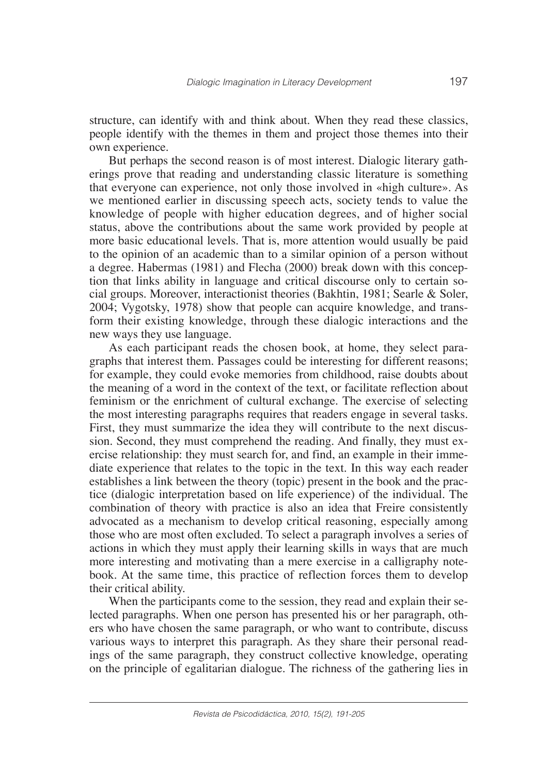structure, can identify with and think about. When they read these classics, people identify with the themes in them and project those themes into their own experience.

But perhaps the second reason is of most interest. Dialogic literary gatherings prove that reading and understanding classic literature is something that everyone can experience, not only those involved in «high culture». As we mentioned earlier in discussing speech acts, society tends to value the knowledge of people with higher education degrees, and of higher social status, above the contributions about the same work provided by people at more basic educational levels. That is, more attention would usually be paid to the opinion of an academic than to a similar opinion of a person without a degree. Habermas (1981) and Flecha (2000) break down with this conception that links ability in language and critical discourse only to certain social groups. Moreover, interactionist theories (Bakhtin, 1981; Searle & Soler, 2004; Vygotsky, 1978) show that people can acquire knowledge, and transform their existing knowledge, through these dialogic interactions and the new ways they use language.

As each participant reads the chosen book, at home, they select paragraphs that interest them. Passages could be interesting for different reasons; for example, they could evoke memories from childhood, raise doubts about the meaning of a word in the context of the text, or facilitate reflection about feminism or the enrichment of cultural exchange. The exercise of selecting the most interesting paragraphs requires that readers engage in several tasks. First, they must summarize the idea they will contribute to the next discussion. Second, they must comprehend the reading. And finally, they must exercise relationship: they must search for, and find, an example in their immediate experience that relates to the topic in the text. In this way each reader establishes a link between the theory (topic) present in the book and the practice (dialogic interpretation based on life experience) of the individual. The combination of theory with practice is also an idea that Freire consistently advocated as a mechanism to develop critical reasoning, especially among those who are most often excluded. To select a paragraph involves a series of actions in which they must apply their learning skills in ways that are much more interesting and motivating than a mere exercise in a calligraphy notebook. At the same time, this practice of reflection forces them to develop their critical ability.

When the participants come to the session, they read and explain their selected paragraphs. When one person has presented his or her paragraph, others who have chosen the same paragraph, or who want to contribute, discuss various ways to interpret this paragraph. As they share their personal readings of the same paragraph, they construct collective knowledge, operating on the principle of egalitarian dialogue. The richness of the gathering lies in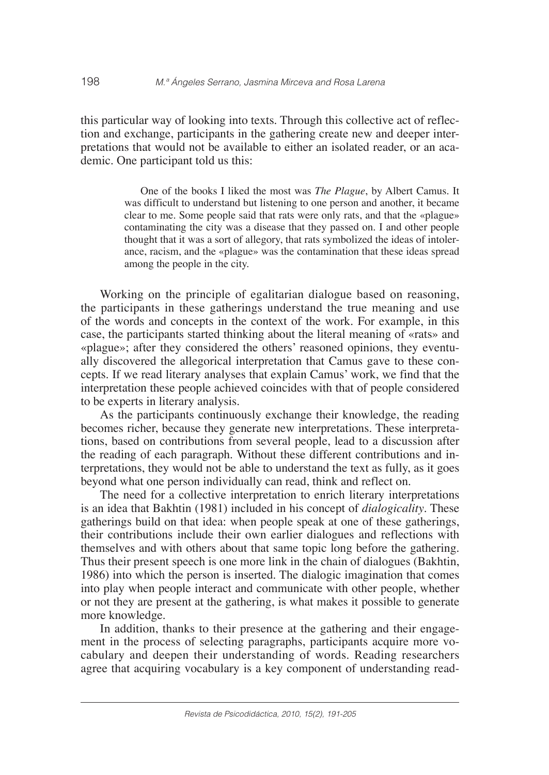this particular way of looking into texts. Through this collective act of reflection and exchange, participants in the gathering create new and deeper interpretations that would not be available to either an isolated reader, or an academic. One participant told us this:

> One of the books I liked the most was *The Plague*, by Albert Camus. It was difficult to understand but listening to one person and another, it became clear to me. Some people said that rats were only rats, and that the «plague» contaminating the city was a disease that they passed on. I and other people thought that it was a sort of allegory, that rats symbolized the ideas of intolerance, racism, and the «plague» was the contamination that these ideas spread among the people in the city.

Working on the principle of egalitarian dialogue based on reasoning, the participants in these gatherings understand the true meaning and use of the words and concepts in the context of the work. For example, in this case, the participants started thinking about the literal meaning of «rats» and «plague»; after they considered the others' reasoned opinions, they eventually discovered the allegorical interpretation that Camus gave to these concepts. If we read literary analyses that explain Camus' work, we find that the interpretation these people achieved coincides with that of people considered to be experts in literary analysis.

As the participants continuously exchange their knowledge, the reading becomes richer, because they generate new interpretations. These interpretations, based on contributions from several people, lead to a discussion after the reading of each paragraph. Without these different contributions and interpretations, they would not be able to understand the text as fully, as it goes beyond what one person individually can read, think and reflect on.

The need for a collective interpretation to enrich literary interpretations is an idea that Bakhtin (1981) included in his concept of *dialogicality*. These gatherings build on that idea: when people speak at one of these gatherings, their contributions include their own earlier dialogues and reflections with themselves and with others about that same topic long before the gathering. Thus their present speech is one more link in the chain of dialogues (Bakhtin, 1986) into which the person is inserted. The dialogic imagination that comes into play when people interact and communicate with other people, whether or not they are present at the gathering, is what makes it possible to generate more knowledge.

In addition, thanks to their presence at the gathering and their engagement in the process of selecting paragraphs, participants acquire more vocabulary and deepen their understanding of words. Reading researchers agree that acquiring vocabulary is a key component of understanding read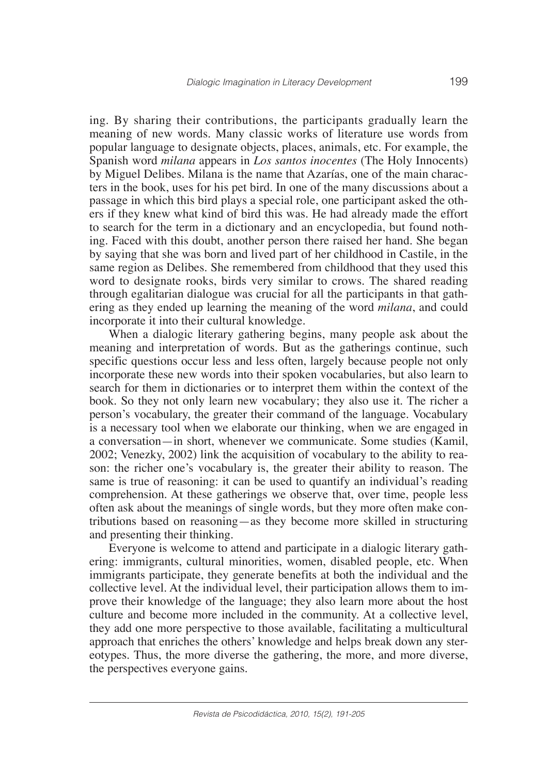ing. By sharing their contributions, the participants gradually learn the meaning of new words. Many classic works of literature use words from popular language to designate objects, places, animals, etc. For example, the Spanish word *milana* appears in *Los santos inocentes* (The Holy Innocents) by Miguel Delibes. Milana is the name that Azarías, one of the main characters in the book, uses for his pet bird. In one of the many discussions about a passage in which this bird plays a special role, one participant asked the others if they knew what kind of bird this was. He had already made the effort to search for the term in a dictionary and an encyclopedia, but found nothing. Faced with this doubt, another person there raised her hand. She began by saying that she was born and lived part of her childhood in Castile, in the same region as Delibes. She remembered from childhood that they used this word to designate rooks, birds very similar to crows. The shared reading through egalitarian dialogue was crucial for all the participants in that gathering as they ended up learning the meaning of the word *milana*, and could incorporate it into their cultural knowledge.

When a dialogic literary gathering begins, many people ask about the meaning and interpretation of words. But as the gatherings continue, such specific questions occur less and less often, largely because people not only incorporate these new words into their spoken vocabularies, but also learn to search for them in dictionaries or to interpret them within the context of the book. So they not only learn new vocabulary; they also use it. The richer a person's vocabulary, the greater their command of the language. Vocabulary is a necessary tool when we elaborate our thinking, when we are engaged in a conversation—in short, whenever we communicate. Some studies (Kamil, 2002; Venezky, 2002) link the acquisition of vocabulary to the ability to reason: the richer one's vocabulary is, the greater their ability to reason. The same is true of reasoning: it can be used to quantify an individual's reading comprehension. At these gatherings we observe that, over time, people less often ask about the meanings of single words, but they more often make contributions based on reasoning—as they become more skilled in structuring and presenting their thinking.

Everyone is welcome to attend and participate in a dialogic literary gathering: immigrants, cultural minorities, women, disabled people, etc. When immigrants participate, they generate benefits at both the individual and the collective level. At the individual level, their participation allows them to improve their knowledge of the language; they also learn more about the host culture and become more included in the community. At a collective level, they add one more perspective to those available, facilitating a multicultural approach that enriches the others' knowledge and helps break down any stereotypes. Thus, the more diverse the gathering, the more, and more diverse, the perspectives everyone gains.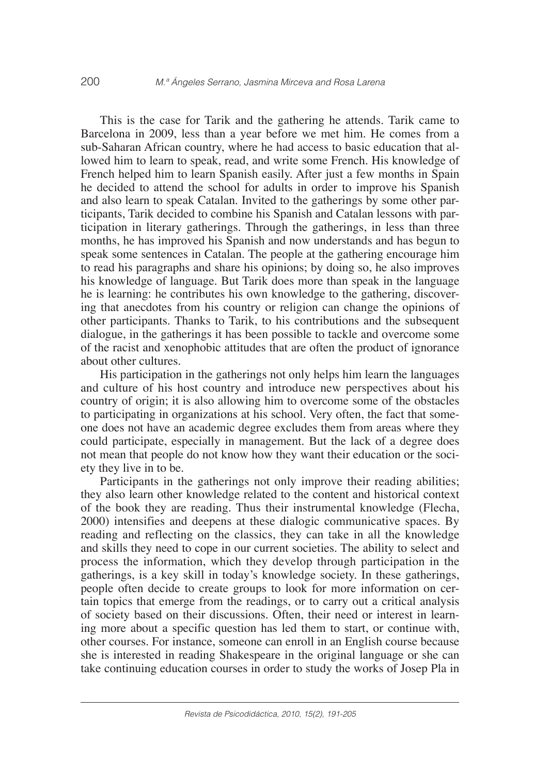This is the case for Tarik and the gathering he attends. Tarik came to Barcelona in 2009, less than a year before we met him. He comes from a sub-Saharan African country, where he had access to basic education that allowed him to learn to speak, read, and write some French. His knowledge of French helped him to learn Spanish easily. After just a few months in Spain he decided to attend the school for adults in order to improve his Spanish and also learn to speak Catalan. Invited to the gatherings by some other participants, Tarik decided to combine his Spanish and Catalan lessons with participation in literary gatherings. Through the gatherings, in less than three months, he has improved his Spanish and now understands and has begun to speak some sentences in Catalan. The people at the gathering encourage him to read his paragraphs and share his opinions; by doing so, he also improves his knowledge of language. But Tarik does more than speak in the language he is learning: he contributes his own knowledge to the gathering, discovering that anecdotes from his country or religion can change the opinions of other participants. Thanks to Tarik, to his contributions and the subsequent dialogue, in the gatherings it has been possible to tackle and overcome some of the racist and xenophobic attitudes that are often the product of ignorance about other cultures.

His participation in the gatherings not only helps him learn the languages and culture of his host country and introduce new perspectives about his country of origin; it is also allowing him to overcome some of the obstacles to participating in organizations at his school. Very often, the fact that someone does not have an academic degree excludes them from areas where they could participate, especially in management. But the lack of a degree does not mean that people do not know how they want their education or the society they live in to be.

Participants in the gatherings not only improve their reading abilities; they also learn other knowledge related to the content and historical context of the book they are reading. Thus their instrumental knowledge (Flecha, 2000) intensifies and deepens at these dialogic communicative spaces. By reading and reflecting on the classics, they can take in all the knowledge and skills they need to cope in our current societies. The ability to select and process the information, which they develop through participation in the gatherings, is a key skill in today's knowledge society. In these gatherings, people often decide to create groups to look for more information on certain topics that emerge from the readings, or to carry out a critical analysis of society based on their discussions. Often, their need or interest in learning more about a specific question has led them to start, or continue with, other courses. For instance, someone can enroll in an English course because she is interested in reading Shakespeare in the original language or she can take continuing education courses in order to study the works of Josep Pla in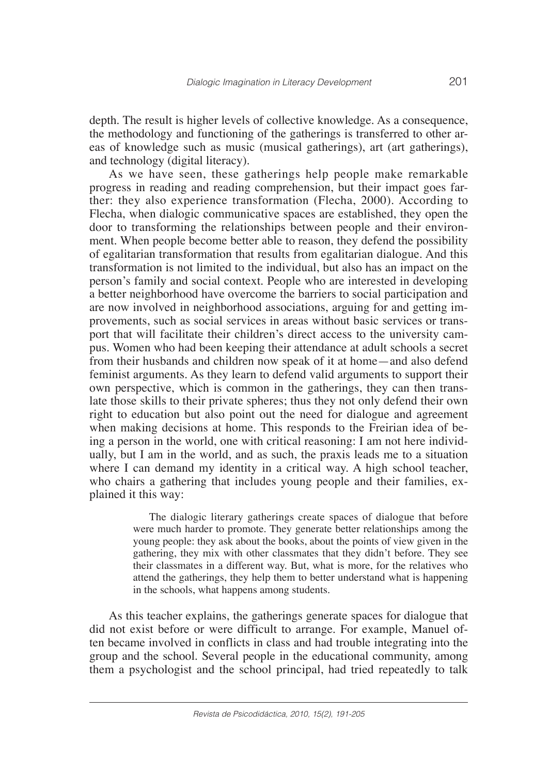depth. The result is higher levels of collective knowledge. As a consequence, the methodology and functioning of the gatherings is transferred to other areas of knowledge such as music (musical gatherings), art (art gatherings), and technology (digital literacy).

As we have seen, these gatherings help people make remarkable progress in reading and reading comprehension, but their impact goes farther: they also experience transformation (Flecha, 2000). According to Flecha, when dialogic communicative spaces are established, they open the door to transforming the relationships between people and their environment. When people become better able to reason, they defend the possibility of egalitarian transformation that results from egalitarian dialogue. And this transformation is not limited to the individual, but also has an impact on the person's family and social context. People who are interested in developing a better neighborhood have overcome the barriers to social participation and are now involved in neighborhood associations, arguing for and getting improvements, such as social services in areas without basic services or transport that will facilitate their children's direct access to the university campus. Women who had been keeping their attendance at adult schools a secret from their husbands and children now speak of it at home—and also defend feminist arguments. As they learn to defend valid arguments to support their own perspective, which is common in the gatherings, they can then translate those skills to their private spheres; thus they not only defend their own right to education but also point out the need for dialogue and agreement when making decisions at home. This responds to the Freirian idea of being a person in the world, one with critical reasoning: I am not here individually, but I am in the world, and as such, the praxis leads me to a situation where I can demand my identity in a critical way. A high school teacher, who chairs a gathering that includes young people and their families, explained it this way:

> The dialogic literary gatherings create spaces of dialogue that before were much harder to promote. They generate better relationships among the young people: they ask about the books, about the points of view given in the gathering, they mix with other classmates that they didn't before. They see their classmates in a different way. But, what is more, for the relatives who attend the gatherings, they help them to better understand what is happening in the schools, what happens among students.

As this teacher explains, the gatherings generate spaces for dialogue that did not exist before or were difficult to arrange. For example, Manuel often became involved in conflicts in class and had trouble integrating into the group and the school. Several people in the educational community, among them a psychologist and the school principal, had tried repeatedly to talk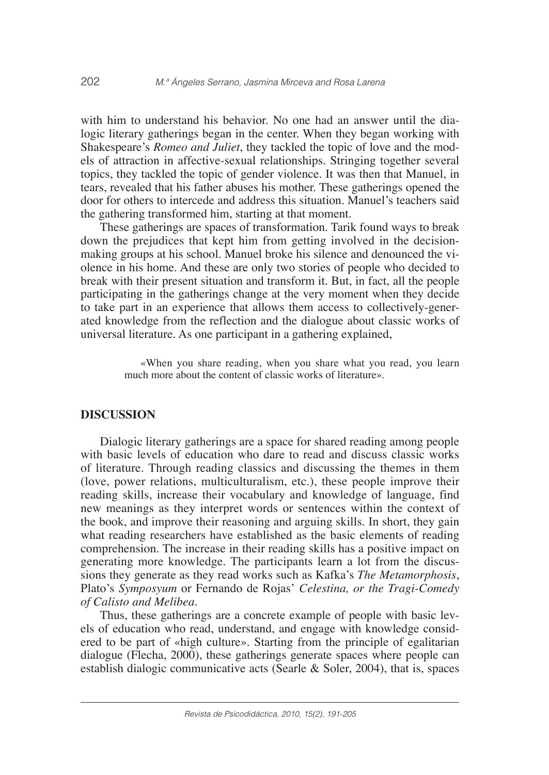with him to understand his behavior. No one had an answer until the dialogic literary gatherings began in the center. When they began working with Shakespeare's *Romeo and Juliet*, they tackled the topic of love and the models of attraction in affective-sexual relationships. Stringing together several topics, they tackled the topic of gender violence. It was then that Manuel, in tears, revealed that his father abuses his mother. These gatherings opened the door for others to intercede and address this situation. Manuel's teachers said the gathering transformed him, starting at that moment.

These gatherings are spaces of transformation. Tarik found ways to break down the prejudices that kept him from getting involved in the decisionmaking groups at his school. Manuel broke his silence and denounced the violence in his home. And these are only two stories of people who decided to break with their present situation and transform it. But, in fact, all the people participating in the gatherings change at the very moment when they decide to take part in an experience that allows them access to collectively-generated knowledge from the reflection and the dialogue about classic works of universal literature. As one participant in a gathering explained,

> «When you share reading, when you share what you read, you learn much more about the content of classic works of literature».

## **DISCUSSION**

Dialogic literary gatherings are a space for shared reading among people with basic levels of education who dare to read and discuss classic works of literature. Through reading classics and discussing the themes in them (love, power relations, multiculturalism, etc.), these people improve their reading skills, increase their vocabulary and knowledge of language, find new meanings as they interpret words or sentences within the context of the book, and improve their reasoning and arguing skills. In short, they gain what reading researchers have established as the basic elements of reading comprehension. The increase in their reading skills has a positive impact on generating more knowledge. The participants learn a lot from the discussions they generate as they read works such as Kafka's *The Metamorphosis*, Plato's *Symposyum* or Fernando de Rojas' *Celestina, or the Tragi-Comedy of Calisto and Melibea*.

Thus, these gatherings are a concrete example of people with basic levels of education who read, understand, and engage with knowledge considered to be part of «high culture». Starting from the principle of egalitarian dialogue (Flecha, 2000), these gatherings generate spaces where people can establish dialogic communicative acts (Searle & Soler, 2004), that is, spaces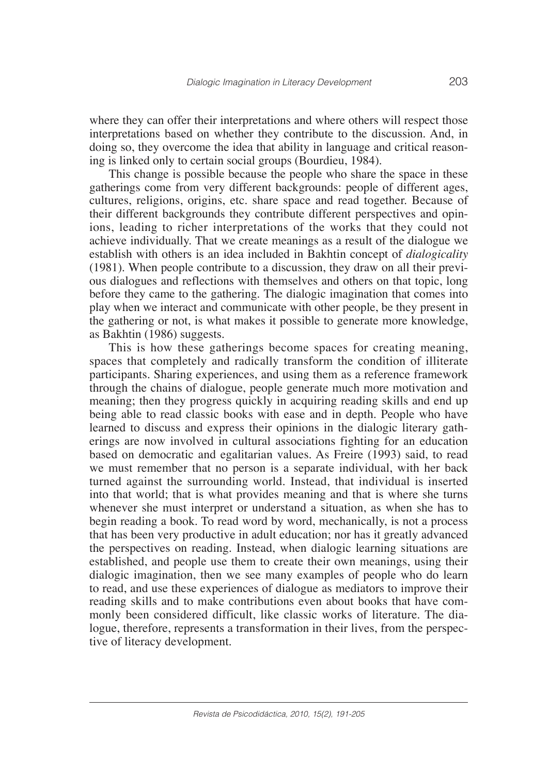where they can offer their interpretations and where others will respect those interpretations based on whether they contribute to the discussion. And, in doing so, they overcome the idea that ability in language and critical reasoning is linked only to certain social groups (Bourdieu, 1984).

This change is possible because the people who share the space in these gatherings come from very different backgrounds: people of different ages, cultures, religions, origins, etc. share space and read together. Because of their different backgrounds they contribute different perspectives and opinions, leading to richer interpretations of the works that they could not achieve individually. That we create meanings as a result of the dialogue we establish with others is an idea included in Bakhtin concept of *dialogicality*  (1981). When people contribute to a discussion, they draw on all their previous dialogues and reflections with themselves and others on that topic, long before they came to the gathering. The dialogic imagination that comes into play when we interact and communicate with other people, be they present in the gathering or not, is what makes it possible to generate more knowledge, as Bakhtin (1986) suggests.

This is how these gatherings become spaces for creating meaning, spaces that completely and radically transform the condition of illiterate participants. Sharing experiences, and using them as a reference framework through the chains of dialogue, people generate much more motivation and meaning; then they progress quickly in acquiring reading skills and end up being able to read classic books with ease and in depth. People who have learned to discuss and express their opinions in the dialogic literary gatherings are now involved in cultural associations fighting for an education based on democratic and egalitarian values. As Freire (1993) said, to read we must remember that no person is a separate individual, with her back turned against the surrounding world. Instead, that individual is inserted into that world; that is what provides meaning and that is where she turns whenever she must interpret or understand a situation, as when she has to begin reading a book. To read word by word, mechanically, is not a process that has been very productive in adult education; nor has it greatly advanced the perspectives on reading. Instead, when dialogic learning situations are established, and people use them to create their own meanings, using their dialogic imagination, then we see many examples of people who do learn to read, and use these experiences of dialogue as mediators to improve their reading skills and to make contributions even about books that have commonly been considered difficult, like classic works of literature. The dialogue, therefore, represents a transformation in their lives, from the perspective of literacy development.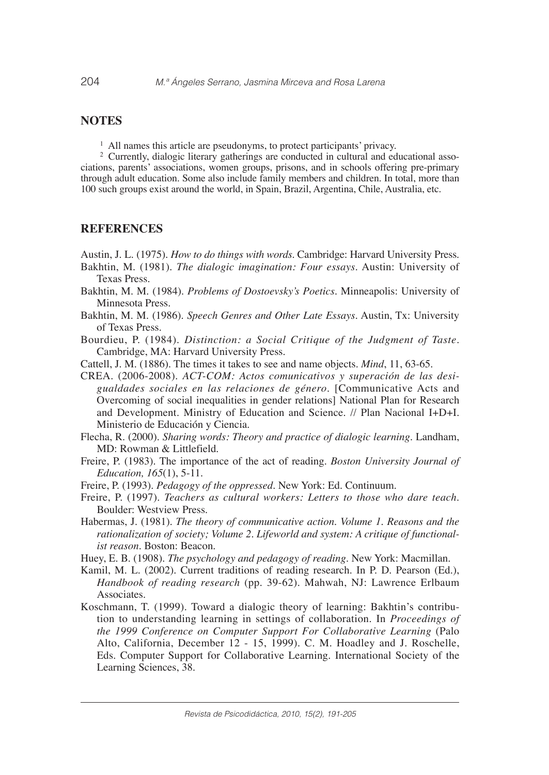# **NOTES**

 $<sup>1</sup>$  All names this article are pseudonyms, to protect participants' privacy.</sup>

<sup>2</sup> Currently, dialogic literary gatherings are conducted in cultural and educational associations, parents' associations, women groups, prisons, and in schools offering pre-primary through adult education. Some also include family members and children. In total, more than 100 such groups exist around the world, in Spain, Brazil, Argentina, Chile, Australia, etc.

#### **REFERENCES**

Austin, J. L. (1975). *How to do things with words*. Cambridge: Harvard University Press.

- Bakhtin, M. (1981). *The dialogic imagination: Four essays*. Austin: University of Texas Press.
- Bakhtin, M. M. (1984). *Problems of Dostoevsky's Poetics*. Minneapolis: University of Minnesota Press.
- Bakhtin, M. M. (1986). *Speech Genres and Other Late Essays*. Austin, Tx: University of Texas Press.
- Bourdieu, P. (1984). *Distinction: a Social Critique of the Judgment of Taste.* Cambridge, MA: Harvard University Press.
- Cattell, J. M. (1886). The times it takes to see and name objects. *Mind*, 11, 63-65.
- CREA. (2006-2008). *ACT-COM: Actos comunicativos y superación de las desigualdades sociales en las relaciones de género.* [Communicative Acts and Overcoming of social inequalities in gender relations] National Plan for Research and Development. Ministry of Education and Science. // Plan Nacional I+D+I. Ministerio de Educación y Ciencia.
- Flecha, R. (2000). *Sharing words: Theory and practice of dialogic learning*. Landham, MD: Rowman & Littlefield.
- Freire, P. (1983). The importance of the act of reading. *Boston University Journal of Education, 165*(1), 5-11.
- Freire, P. (1993). *Pedagogy of the oppressed*. New York: Ed. Continuum.
- Freire, P. (1997). *Teachers as cultural workers: Letters to those who dare teach*. Boulder: Westview Press.
- Habermas, J. (1981). *The theory of communicative action. Volume 1. Reasons and the rationalization of society; Volume 2. Lifeworld and system: A critique of functionalist reason*. Boston: Beacon.
- Huey, E. B. (1908). *The psychology and pedagogy of reading*. New York: Macmillan.
- Kamil, M. L. (2002). Current traditions of reading research. In P. D. Pearson (Ed.), *Handbook of reading research* (pp. 39-62). Mahwah, NJ: Lawrence Erlbaum Associates.
- Koschmann, T. (1999). Toward a dialogic theory of learning: Bakhtin's contribution to understanding learning in settings of collaboration. In *Proceedings of the 1999 Conference on Computer Support For Collaborative Learning* (Palo Alto, California, December 12 - 15, 1999). C. M. Hoadley and J. Roschelle, Eds. Computer Support for Collaborative Learning. International Society of the Learning Sciences, 38.